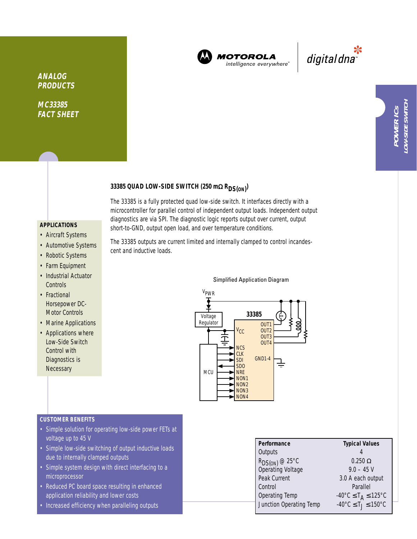

**MOTOROLA** intelligence everywhere"

\*<br>"digital dna

# **33385 QUAD LOW-SIDE SWITCH (250 m**<sup>Ω</sup> **RDS(ON) )**

short-to-GND, output open load, and over temperature conditions.

## **APPLICATIONS**

**ANALOG PRODUCTS**

**MC33385 FACT SHEET**

- Aircraft Systems
- Automotive Systems
- Robotic Systems
- Farm Equipment
- Industrial Actuator **Controls**
- Fractional Horsepower DC-Motor Controls
- Marine Applications
- Applications where Low-Side Switch Control with Diagnostics is **Necessary**

The 33385 outputs are current limited and internally clamped to control incandescent and inductive loads.

The 33385 is a fully protected quad low-side switch. It interfaces directly with a microcontroller for parallel control of independent output loads. Independent output diagnostics are via SPI. The diagnostic logic reports output over current, output

Simplified Application Diagram



#### **CUSTOMER BENEFITS**

- Simple solution for operating low-side power FETs at voltage up to 45 V
- Simple low-side switching of output inductive loads due to internally clamped outputs
- Simple system design with direct interfacing to a microprocessor
- Reduced PC board space resulting in enhanced application reliability and lower costs
- Increased efficiency when paralleling outputs

| Performance                              | <b>Typical Values</b>                              |  |  |
|------------------------------------------|----------------------------------------------------|--|--|
| Outputs                                  |                                                    |  |  |
| $R_{DS(ON)}$ @ 25°C<br>Operating Voltage | $0.250 \Omega$                                     |  |  |
|                                          | $9.0 - 45$ V                                       |  |  |
| Peak Current                             | 3.0 A each output                                  |  |  |
| Control                                  | Parallel                                           |  |  |
| Operating Temp                           | $-40^{\circ}$ C $\leq$ T <sub>A</sub> $\leq$ 125°C |  |  |
| Junction Operating Temp                  | $-40^{\circ}$ C $\leq$ T $\leq$ 150°C              |  |  |